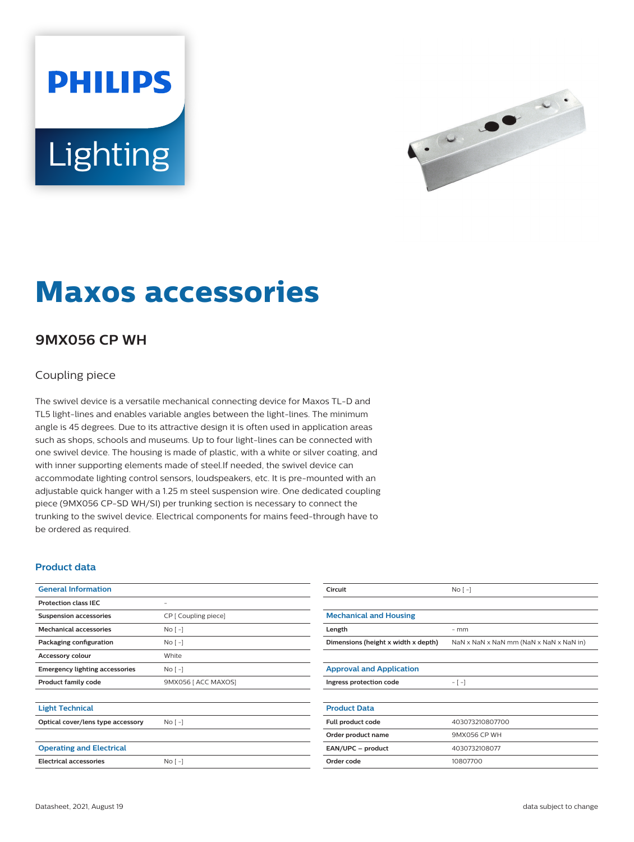# **PHILIPS Lighting**



## **Maxos accessories**

### **9MX056 CP WH**

#### Coupling piece

The swivel device is a versatile mechanical connecting device for Maxos TL-D and TL5 light-lines and enables variable angles between the light-lines. The minimum angle is 45 degrees. Due to its attractive design it is often used in application areas such as shops, schools and museums. Up to four light-lines can be connected with one swivel device. The housing is made of plastic, with a white or silver coating, and with inner supporting elements made of steel.If needed, the swivel device can accommodate lighting control sensors, loudspeakers, etc. It is pre-mounted with an adjustable quick hanger with a 1.25 m steel suspension wire. One dedicated coupling piece (9MX056 CP-SD WH/SI) per trunking section is necessary to connect the trunking to the swivel device. Electrical components for mains feed-through have to be ordered as required.

#### **Product data**

| <b>General Information</b>            |                      |  |
|---------------------------------------|----------------------|--|
| <b>Protection class IEC</b>           | ۰                    |  |
| <b>Suspension accessories</b>         | CP [ Coupling piece] |  |
| <b>Mechanical accessories</b>         | $No[ -]$             |  |
| Packaging configuration               | $No[ -]$             |  |
| <b>Accessory colour</b>               | White                |  |
| <b>Emergency lighting accessories</b> | $No$ [ -1            |  |
| <b>Product family code</b>            | 9MX056 [ ACC MAXOS]  |  |
|                                       |                      |  |
| <b>Light Technical</b>                |                      |  |
| Optical cover/lens type accessory     | No <sub>1</sub>      |  |
|                                       |                      |  |
| <b>Operating and Electrical</b>       |                      |  |
| <b>Electrical accessories</b>         | $No[ -]$             |  |

| Circuit                             | No <sub>1</sub>                         |  |
|-------------------------------------|-----------------------------------------|--|
|                                     |                                         |  |
| <b>Mechanical and Housing</b>       |                                         |  |
| Length                              | $-$ mm                                  |  |
| Dimensions (height x width x depth) | NaN x NaN x NaN mm (NaN x NaN x NaN in) |  |
|                                     |                                         |  |
| <b>Approval and Application</b>     |                                         |  |
| Ingress protection code             | $-[-]$                                  |  |
|                                     |                                         |  |
| <b>Product Data</b>                 |                                         |  |
| Full product code                   | 403073210807700                         |  |
| Order product name                  | 9MX056 CP WH                            |  |
| EAN/UPC - product                   | 4030732108077                           |  |
| Order code                          | 10807700                                |  |
|                                     |                                         |  |